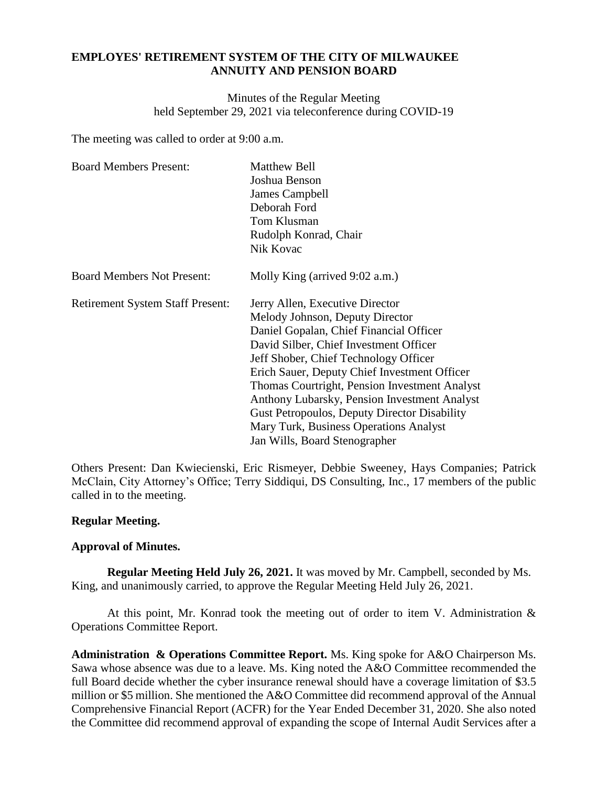## **EMPLOYES' RETIREMENT SYSTEM OF THE CITY OF MILWAUKEE ANNUITY AND PENSION BOARD**

Minutes of the Regular Meeting held September 29, 2021 via teleconference during COVID-19

The meeting was called to order at 9:00 a.m.

| <b>Board Members Present:</b>           | <b>Matthew Bell</b>                                 |  |
|-----------------------------------------|-----------------------------------------------------|--|
|                                         | Joshua Benson                                       |  |
|                                         | James Campbell                                      |  |
|                                         | Deborah Ford                                        |  |
|                                         | Tom Klusman                                         |  |
|                                         | Rudolph Konrad, Chair                               |  |
|                                         | Nik Kovac                                           |  |
| <b>Board Members Not Present:</b>       | Molly King (arrived 9:02 a.m.)                      |  |
| <b>Retirement System Staff Present:</b> | Jerry Allen, Executive Director                     |  |
|                                         | Melody Johnson, Deputy Director                     |  |
|                                         | Daniel Gopalan, Chief Financial Officer             |  |
|                                         | David Silber, Chief Investment Officer              |  |
|                                         | Jeff Shober, Chief Technology Officer               |  |
|                                         | Erich Sauer, Deputy Chief Investment Officer        |  |
|                                         | Thomas Courtright, Pension Investment Analyst       |  |
|                                         | Anthony Lubarsky, Pension Investment Analyst        |  |
|                                         | <b>Gust Petropoulos, Deputy Director Disability</b> |  |
|                                         | Mary Turk, Business Operations Analyst              |  |
|                                         | Jan Wills, Board Stenographer                       |  |

Others Present: Dan Kwiecienski, Eric Rismeyer, Debbie Sweeney, Hays Companies; Patrick McClain, City Attorney's Office; Terry Siddiqui, DS Consulting, Inc., 17 members of the public called in to the meeting.

## **Regular Meeting.**

## **Approval of Minutes.**

**Regular Meeting Held July 26, 2021.** It was moved by Mr. Campbell, seconded by Ms. King, and unanimously carried, to approve the Regular Meeting Held July 26, 2021.

At this point, Mr. Konrad took the meeting out of order to item V. Administration  $\&$ Operations Committee Report.

**Administration & Operations Committee Report.** Ms. King spoke for A&O Chairperson Ms. Sawa whose absence was due to a leave. Ms. King noted the A&O Committee recommended the full Board decide whether the cyber insurance renewal should have a coverage limitation of \$3.5 million or \$5 million. She mentioned the A&O Committee did recommend approval of the Annual Comprehensive Financial Report (ACFR) for the Year Ended December 31, 2020. She also noted the Committee did recommend approval of expanding the scope of Internal Audit Services after a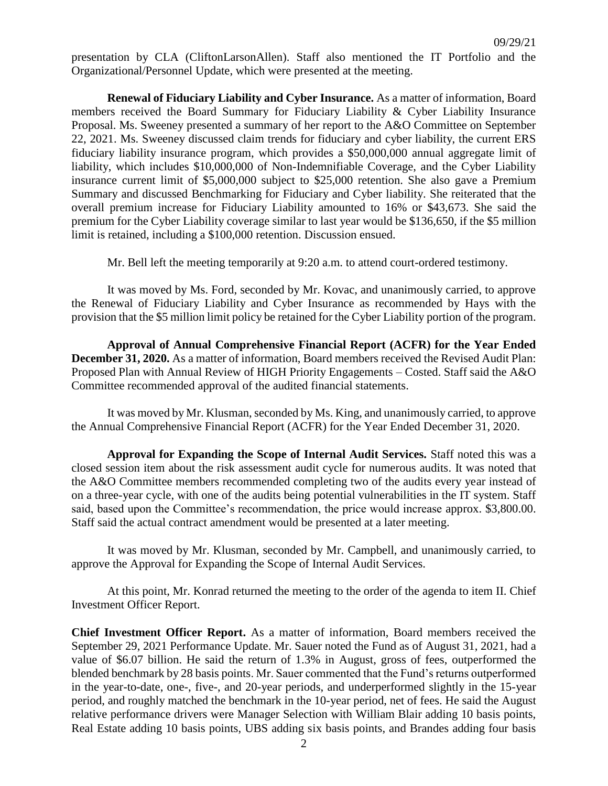presentation by CLA (CliftonLarsonAllen). Staff also mentioned the IT Portfolio and the Organizational/Personnel Update, which were presented at the meeting.

**Renewal of Fiduciary Liability and Cyber Insurance.** As a matter of information, Board members received the Board Summary for Fiduciary Liability & Cyber Liability Insurance Proposal. Ms. Sweeney presented a summary of her report to the A&O Committee on September 22, 2021. Ms. Sweeney discussed claim trends for fiduciary and cyber liability, the current ERS fiduciary liability insurance program, which provides a \$50,000,000 annual aggregate limit of liability, which includes \$10,000,000 of Non-Indemnifiable Coverage, and the Cyber Liability insurance current limit of \$5,000,000 subject to \$25,000 retention. She also gave a Premium Summary and discussed Benchmarking for Fiduciary and Cyber liability. She reiterated that the overall premium increase for Fiduciary Liability amounted to 16% or \$43,673. She said the premium for the Cyber Liability coverage similar to last year would be \$136,650, if the \$5 million limit is retained, including a \$100,000 retention. Discussion ensued.

Mr. Bell left the meeting temporarily at 9:20 a.m. to attend court-ordered testimony.

It was moved by Ms. Ford, seconded by Mr. Kovac, and unanimously carried, to approve the Renewal of Fiduciary Liability and Cyber Insurance as recommended by Hays with the provision that the \$5 million limit policy be retained for the Cyber Liability portion of the program.

**Approval of Annual Comprehensive Financial Report (ACFR) for the Year Ended December 31, 2020.** As a matter of information, Board members received the Revised Audit Plan: Proposed Plan with Annual Review of HIGH Priority Engagements – Costed. Staff said the A&O Committee recommended approval of the audited financial statements.

It was moved by Mr. Klusman, seconded by Ms. King, and unanimously carried, to approve the Annual Comprehensive Financial Report (ACFR) for the Year Ended December 31, 2020.

**Approval for Expanding the Scope of Internal Audit Services.** Staff noted this was a closed session item about the risk assessment audit cycle for numerous audits. It was noted that the A&O Committee members recommended completing two of the audits every year instead of on a three-year cycle, with one of the audits being potential vulnerabilities in the IT system. Staff said, based upon the Committee's recommendation, the price would increase approx. \$3,800.00. Staff said the actual contract amendment would be presented at a later meeting.

It was moved by Mr. Klusman, seconded by Mr. Campbell, and unanimously carried, to approve the Approval for Expanding the Scope of Internal Audit Services.

At this point, Mr. Konrad returned the meeting to the order of the agenda to item II. Chief Investment Officer Report.

**Chief Investment Officer Report.** As a matter of information, Board members received the September 29, 2021 Performance Update. Mr. Sauer noted the Fund as of August 31, 2021, had a value of \$6.07 billion. He said the return of 1.3% in August, gross of fees, outperformed the blended benchmark by 28 basis points. Mr. Sauer commented that the Fund's returns outperformed in the year-to-date, one-, five-, and 20-year periods, and underperformed slightly in the 15-year period, and roughly matched the benchmark in the 10-year period, net of fees. He said the August relative performance drivers were Manager Selection with William Blair adding 10 basis points, Real Estate adding 10 basis points, UBS adding six basis points, and Brandes adding four basis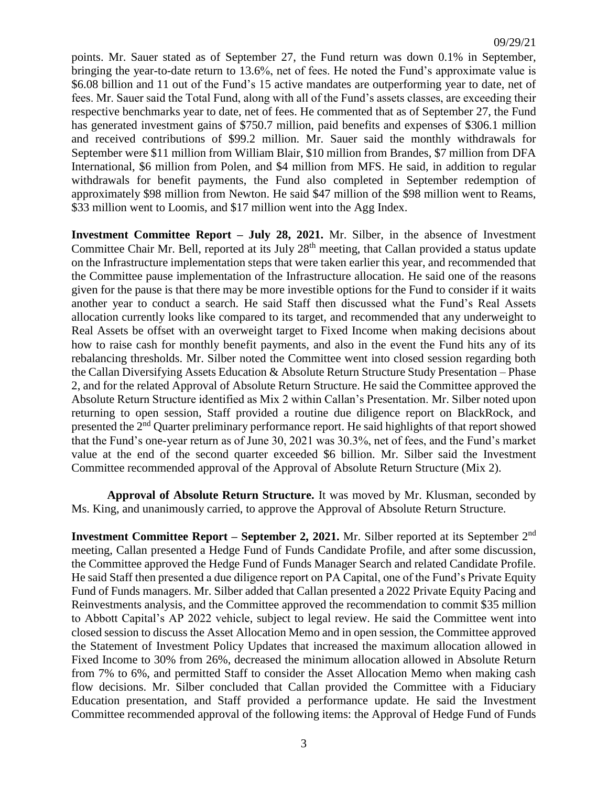points. Mr. Sauer stated as of September 27, the Fund return was down 0.1% in September, bringing the year-to-date return to 13.6%, net of fees. He noted the Fund's approximate value is \$6.08 billion and 11 out of the Fund's 15 active mandates are outperforming year to date, net of fees. Mr. Sauer said the Total Fund, along with all of the Fund's assets classes, are exceeding their respective benchmarks year to date, net of fees. He commented that as of September 27, the Fund has generated investment gains of \$750.7 million, paid benefits and expenses of \$306.1 million and received contributions of \$99.2 million. Mr. Sauer said the monthly withdrawals for September were \$11 million from William Blair, \$10 million from Brandes, \$7 million from DFA International, \$6 million from Polen, and \$4 million from MFS. He said, in addition to regular withdrawals for benefit payments, the Fund also completed in September redemption of approximately \$98 million from Newton. He said \$47 million of the \$98 million went to Reams, \$33 million went to Loomis, and \$17 million went into the Agg Index.

**Investment Committee Report – July 28, 2021.** Mr. Silber, in the absence of Investment Committee Chair Mr. Bell, reported at its July 28<sup>th</sup> meeting, that Callan provided a status update on the Infrastructure implementation steps that were taken earlier this year, and recommended that the Committee pause implementation of the Infrastructure allocation. He said one of the reasons given for the pause is that there may be more investible options for the Fund to consider if it waits another year to conduct a search. He said Staff then discussed what the Fund's Real Assets allocation currently looks like compared to its target, and recommended that any underweight to Real Assets be offset with an overweight target to Fixed Income when making decisions about how to raise cash for monthly benefit payments, and also in the event the Fund hits any of its rebalancing thresholds. Mr. Silber noted the Committee went into closed session regarding both the Callan Diversifying Assets Education & Absolute Return Structure Study Presentation – Phase 2, and for the related Approval of Absolute Return Structure. He said the Committee approved the Absolute Return Structure identified as Mix 2 within Callan's Presentation. Mr. Silber noted upon returning to open session, Staff provided a routine due diligence report on BlackRock, and presented the 2nd Quarter preliminary performance report. He said highlights of that report showed that the Fund's one-year return as of June 30, 2021 was 30.3%, net of fees, and the Fund's market value at the end of the second quarter exceeded \$6 billion. Mr. Silber said the Investment Committee recommended approval of the Approval of Absolute Return Structure (Mix 2).

**Approval of Absolute Return Structure.** It was moved by Mr. Klusman, seconded by Ms. King, and unanimously carried, to approve the Approval of Absolute Return Structure.

**Investment Committee Report – September 2, 2021.** Mr. Silber reported at its September 2<sup>nd</sup> meeting, Callan presented a Hedge Fund of Funds Candidate Profile, and after some discussion, the Committee approved the Hedge Fund of Funds Manager Search and related Candidate Profile. He said Staff then presented a due diligence report on PA Capital, one of the Fund's Private Equity Fund of Funds managers. Mr. Silber added that Callan presented a 2022 Private Equity Pacing and Reinvestments analysis, and the Committee approved the recommendation to commit \$35 million to Abbott Capital's AP 2022 vehicle, subject to legal review. He said the Committee went into closed session to discuss the Asset Allocation Memo and in open session, the Committee approved the Statement of Investment Policy Updates that increased the maximum allocation allowed in Fixed Income to 30% from 26%, decreased the minimum allocation allowed in Absolute Return from 7% to 6%, and permitted Staff to consider the Asset Allocation Memo when making cash flow decisions. Mr. Silber concluded that Callan provided the Committee with a Fiduciary Education presentation, and Staff provided a performance update. He said the Investment Committee recommended approval of the following items: the Approval of Hedge Fund of Funds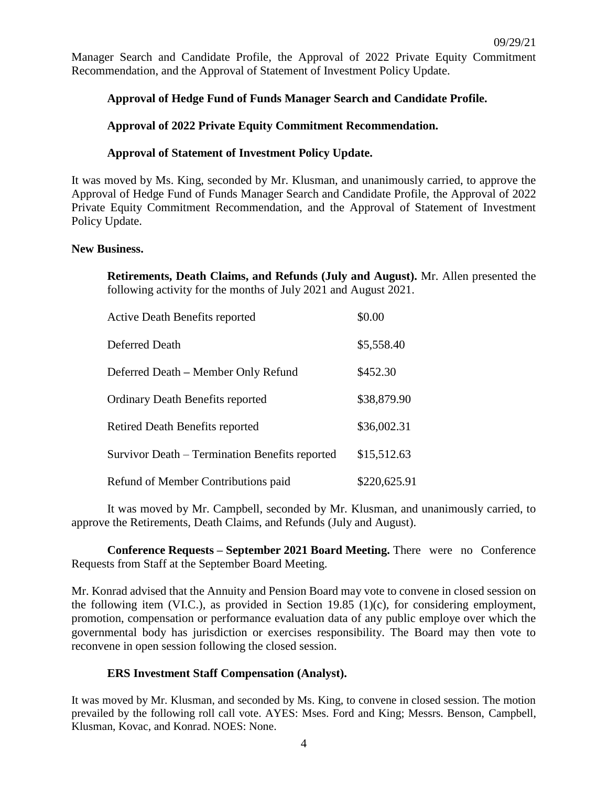Manager Search and Candidate Profile, the Approval of 2022 Private Equity Commitment Recommendation, and the Approval of Statement of Investment Policy Update.

# **Approval of Hedge Fund of Funds Manager Search and Candidate Profile.**

## **Approval of 2022 Private Equity Commitment Recommendation.**

## **Approval of Statement of Investment Policy Update.**

It was moved by Ms. King, seconded by Mr. Klusman, and unanimously carried, to approve the Approval of Hedge Fund of Funds Manager Search and Candidate Profile, the Approval of 2022 Private Equity Commitment Recommendation, and the Approval of Statement of Investment Policy Update.

#### **New Business.**

**Retirements, Death Claims, and Refunds (July and August).** Mr. Allen presented the following activity for the months of July 2021 and August 2021.

| <b>Active Death Benefits reported</b>          | \$0.00       |
|------------------------------------------------|--------------|
| Deferred Death                                 | \$5,558.40   |
| Deferred Death – Member Only Refund            | \$452.30     |
| <b>Ordinary Death Benefits reported</b>        | \$38,879.90  |
| <b>Retired Death Benefits reported</b>         | \$36,002.31  |
| Survivor Death – Termination Benefits reported | \$15,512.63  |
| Refund of Member Contributions paid            | \$220,625.91 |

It was moved by Mr. Campbell, seconded by Mr. Klusman, and unanimously carried, to approve the Retirements, Death Claims, and Refunds (July and August).

**Conference Requests – September 2021 Board Meeting.** There were no Conference Requests from Staff at the September Board Meeting.

Mr. Konrad advised that the Annuity and Pension Board may vote to convene in closed session on the following item (VI.C.), as provided in Section 19.85 (1)(c), for considering employment, promotion, compensation or performance evaluation data of any public employe over which the governmental body has jurisdiction or exercises responsibility. The Board may then vote to reconvene in open session following the closed session.

## **ERS Investment Staff Compensation (Analyst).**

It was moved by Mr. Klusman, and seconded by Ms. King, to convene in closed session. The motion prevailed by the following roll call vote. AYES: Mses. Ford and King; Messrs. Benson, Campbell, Klusman, Kovac, and Konrad. NOES: None.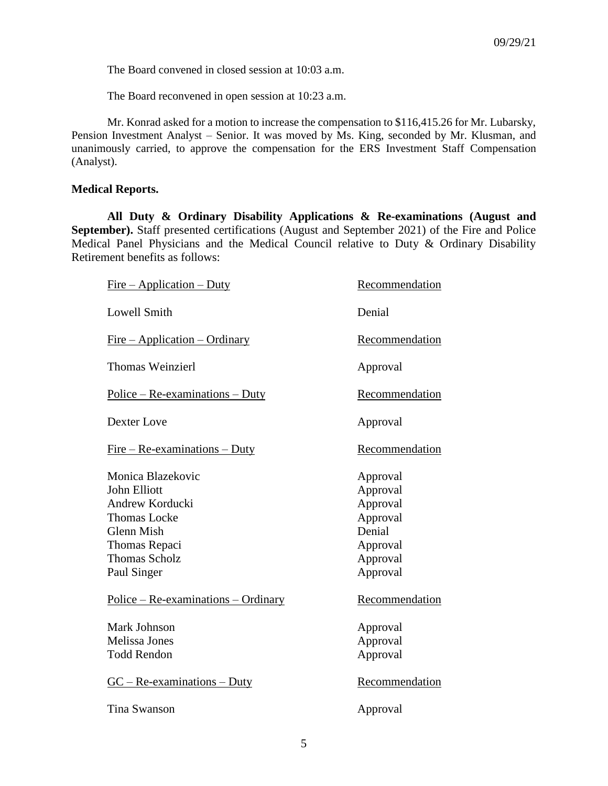The Board convened in closed session at 10:03 a.m.

The Board reconvened in open session at 10:23 a.m.

Mr. Konrad asked for a motion to increase the compensation to \$116,415.26 for Mr. Lubarsky, Pension Investment Analyst – Senior. It was moved by Ms. King, seconded by Mr. Klusman, and unanimously carried, to approve the compensation for the ERS Investment Staff Compensation (Analyst).

### **Medical Reports.**

**All Duty & Ordinary Disability Applications & Re-examinations (August and September).** Staff presented certifications (August and September 2021) of the Fire and Police Medical Panel Physicians and the Medical Council relative to Duty & Ordinary Disability Retirement benefits as follows:

| $Fire - Application - Duty$                                                                                                                                     | Recommendation                                                                             |
|-----------------------------------------------------------------------------------------------------------------------------------------------------------------|--------------------------------------------------------------------------------------------|
| <b>Lowell Smith</b>                                                                                                                                             | Denial                                                                                     |
| $Fire - Application - Ordinary$                                                                                                                                 | Recommendation                                                                             |
| <b>Thomas Weinzierl</b>                                                                                                                                         | Approval                                                                                   |
| $Police - Re-examinations - Duty$                                                                                                                               | Recommendation                                                                             |
| Dexter Love                                                                                                                                                     | Approval                                                                                   |
| $Fire - Re-examinations - Duty$                                                                                                                                 | Recommendation                                                                             |
| Monica Blazekovic<br><b>John Elliott</b><br>Andrew Korducki<br><b>Thomas Locke</b><br><b>Glenn Mish</b><br>Thomas Repaci<br><b>Thomas Scholz</b><br>Paul Singer | Approval<br>Approval<br>Approval<br>Approval<br>Denial<br>Approval<br>Approval<br>Approval |
| $Police - Re-examinations - Ordinary$                                                                                                                           | Recommendation                                                                             |
| Mark Johnson<br>Melissa Jones<br><b>Todd Rendon</b>                                                                                                             | Approval<br>Approval<br>Approval                                                           |
| $GC - Re-examinations - Duty$                                                                                                                                   | Recommendation                                                                             |
| Tina Swanson                                                                                                                                                    | Approval                                                                                   |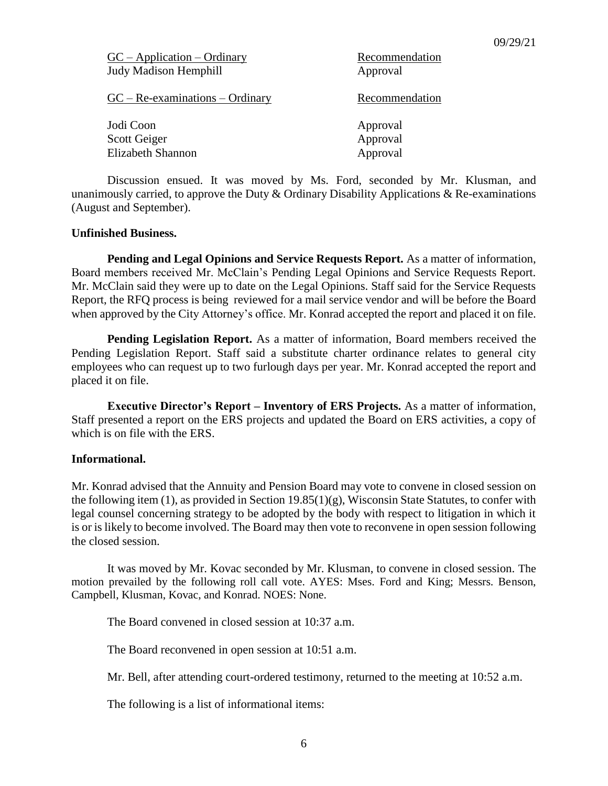| $GC - Application - Ordinary$<br><b>Judy Madison Hemphill</b> | Recommendation<br>Approval |
|---------------------------------------------------------------|----------------------------|
| $GC - Re-examinations - Ordinary$                             | Recommendation             |
| Jodi Coon                                                     | Approval                   |
| Scott Geiger                                                  | Approval                   |
| <b>Elizabeth Shannon</b>                                      | Approval                   |

Discussion ensued. It was moved by Ms. Ford, seconded by Mr. Klusman, and unanimously carried, to approve the Duty  $\&$  Ordinary Disability Applications  $\&$  Re-examinations (August and September).

#### **Unfinished Business.**

**Pending and Legal Opinions and Service Requests Report.** As a matter of information, Board members received Mr. McClain's Pending Legal Opinions and Service Requests Report. Mr. McClain said they were up to date on the Legal Opinions. Staff said for the Service Requests Report, the RFQ process is being reviewed for a mail service vendor and will be before the Board when approved by the City Attorney's office. Mr. Konrad accepted the report and placed it on file.

**Pending Legislation Report.** As a matter of information, Board members received the Pending Legislation Report. Staff said a substitute charter ordinance relates to general city employees who can request up to two furlough days per year. Mr. Konrad accepted the report and placed it on file.

**Executive Director's Report – Inventory of ERS Projects.** As a matter of information, Staff presented a report on the ERS projects and updated the Board on ERS activities, a copy of which is on file with the ERS.

#### **Informational.**

Mr. Konrad advised that the Annuity and Pension Board may vote to convene in closed session on the following item (1), as provided in Section 19.85(1)(g), Wisconsin State Statutes, to confer with legal counsel concerning strategy to be adopted by the body with respect to litigation in which it is or is likely to become involved. The Board may then vote to reconvene in open session following the closed session.

It was moved by Mr. Kovac seconded by Mr. Klusman, to convene in closed session. The motion prevailed by the following roll call vote. AYES: Mses. Ford and King; Messrs. Benson, Campbell, Klusman, Kovac, and Konrad. NOES: None.

The Board convened in closed session at 10:37 a.m.

The Board reconvened in open session at 10:51 a.m.

Mr. Bell, after attending court-ordered testimony, returned to the meeting at 10:52 a.m.

The following is a list of informational items: